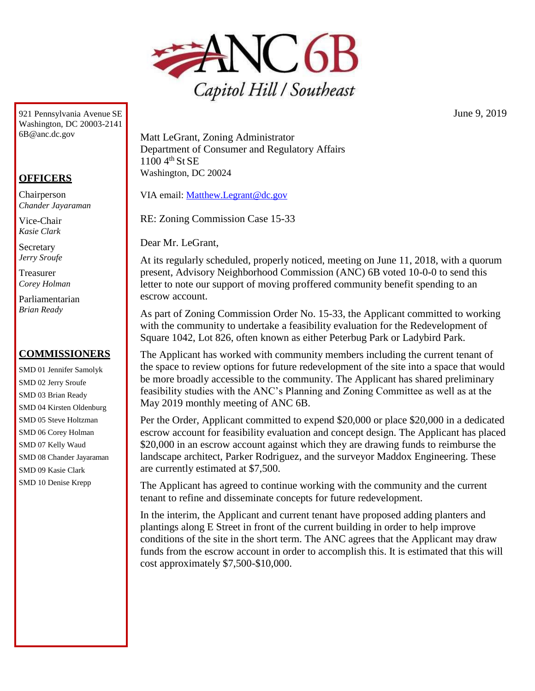

921 Pennsylvania Avenue SE Washington, DC 20003-214[1](mailto:6B@anc.dc.gov) [6B@anc.dc.gov](mailto:6B@anc.dc.gov)

## **OFFICERS**

Chairperson *Chander Jayaraman*

Vice-Chair *Kasie Clark*

**Secretary** *Jerry Sroufe*

Treasurer *Corey Holman*

Parliamentarian *Brian Ready*

## **COMMISSIONERS**

SMD 01 Jennifer Samolyk SMD 02 Jerry Sroufe SMD 03 Brian Ready SMD 04 Kirsten Oldenburg SMD 05 Steve Holtzman SMD 06 Corey Holman SMD 07 Kelly Waud SMD 08 Chander Jayaraman SMD 09 Kasie Clark SMD 10 Denise Krepp

Matt LeGrant, Zoning Administrator Department of Consumer and Regulatory Affairs  $1100 \, 4^{th}$  St SE Washington, DC 20024

VIA email: [Matthew.Legrant@dc.gov](mailto:Matthew.Legrant@dc.gov)

RE: Zoning Commission Case 15-33

Dear Mr. LeGrant,

At its regularly scheduled, properly noticed, meeting on June 11, 2018, with a quorum present, Advisory Neighborhood Commission (ANC) 6B voted 10-0-0 to send this letter to note our support of moving proffered community benefit spending to an escrow account.

As part of Zoning Commission Order No. 15-33, the Applicant committed to working with the community to undertake a feasibility evaluation for the Redevelopment of Square 1042, Lot 826, often known as either Peterbug Park or Ladybird Park.

The Applicant has worked with community members including the current tenant of the space to review options for future redevelopment of the site into a space that would be more broadly accessible to the community. The Applicant has shared preliminary feasibility studies with the ANC's Planning and Zoning Committee as well as at the May 2019 monthly meeting of ANC 6B.

Per the Order, Applicant committed to expend \$20,000 or place \$20,000 in a dedicated escrow account for feasibility evaluation and concept design. The Applicant has placed \$20,000 in an escrow account against which they are drawing funds to reimburse the landscape architect, Parker Rodriguez, and the surveyor Maddox Engineering. These are currently estimated at \$7,500.

The Applicant has agreed to continue working with the community and the current tenant to refine and disseminate concepts for future redevelopment.

In the interim, the Applicant and current tenant have proposed adding planters and plantings along E Street in front of the current building in order to help improve conditions of the site in the short term. The ANC agrees that the Applicant may draw funds from the escrow account in order to accomplish this. It is estimated that this will cost approximately \$7,500-\$10,000.

June 9, 2019